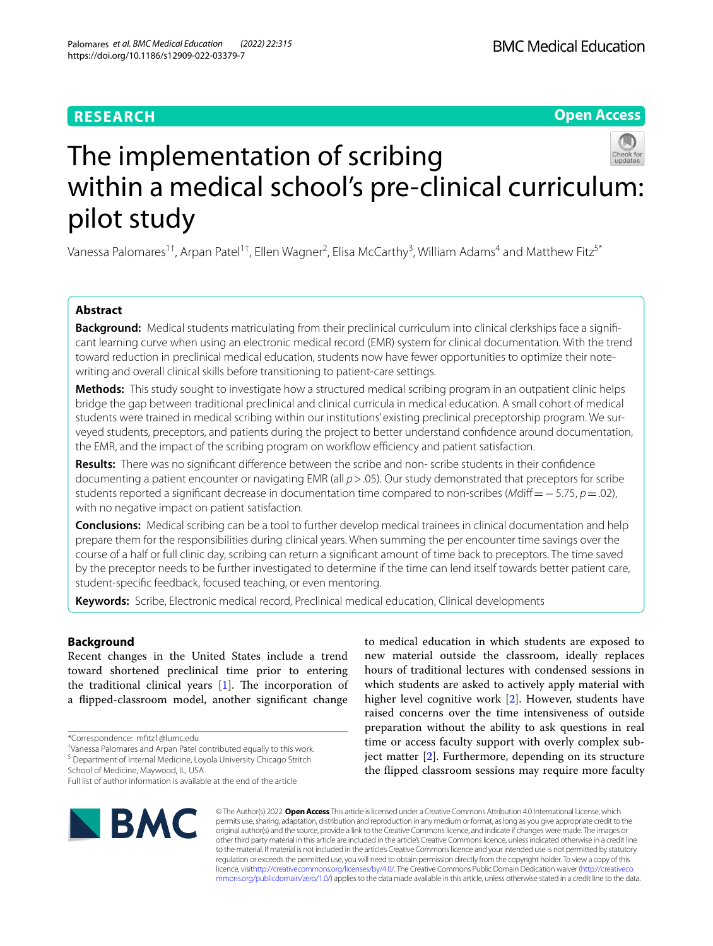# **RESEARCH**

# **Open Access**



# The implementation of scribing within a medical school's pre-clinical curriculum: pilot study

Vanessa Palomares<sup>1†</sup>, Arpan Patel<sup>1†</sup>, Ellen Wagner<sup>2</sup>, Elisa McCarthy<sup>3</sup>, William Adams<sup>4</sup> and Matthew Fitz<sup>s\*</sup>

# **Abstract**

**Background:** Medical students matriculating from their preclinical curriculum into clinical clerkships face a significant learning curve when using an electronic medical record (EMR) system for clinical documentation. With the trend toward reduction in preclinical medical education, students now have fewer opportunities to optimize their notewriting and overall clinical skills before transitioning to patient-care settings.

**Methods:** This study sought to investigate how a structured medical scribing program in an outpatient clinic helps bridge the gap between traditional preclinical and clinical curricula in medical education. A small cohort of medical students were trained in medical scribing within our institutions' existing preclinical preceptorship program. We surveyed students, preceptors, and patients during the project to better understand confdence around documentation, the EMR, and the impact of the scribing program on workflow efficiency and patient satisfaction.

**Results:** There was no signifcant diference between the scribe and non- scribe students in their confdence documenting a patient encounter or navigating EMR (all *p*>.05). Our study demonstrated that preceptors for scribe students reported a signifcant decrease in documentation time compared to non-scribes (*M*dif=−5.75, *p*=.02), with no negative impact on patient satisfaction.

**Conclusions:** Medical scribing can be a tool to further develop medical trainees in clinical documentation and help prepare them for the responsibilities during clinical years. When summing the per encounter time savings over the course of a half or full clinic day, scribing can return a signifcant amount of time back to preceptors. The time saved by the preceptor needs to be further investigated to determine if the time can lend itself towards better patient care, student-specifc feedback, focused teaching, or even mentoring.

**Keywords:** Scribe, Electronic medical record, Preclinical medical education, Clinical developments

# **Background**

Recent changes in the United States include a trend toward shortened preclinical time prior to entering the traditional clinical years  $[1]$  $[1]$ . The incorporation of a fipped-classroom model, another signifcant change

† Vanessa Palomares and Arpan Patel contributed equally to this work.

School of Medicine, Maywood, IL, USA

to medical education in which students are exposed to new material outside the classroom, ideally replaces hours of traditional lectures with condensed sessions in which students are asked to actively apply material with higher level cognitive work [[2](#page-6-1)]. However, students have raised concerns over the time intensiveness of outside preparation without the ability to ask questions in real time or access faculty support with overly complex subject matter [\[2](#page-6-1)]. Furthermore, depending on its structure the fipped classroom sessions may require more faculty



© The Author(s) 2022. **Open Access** This article is licensed under a Creative Commons Attribution 4.0 International License, which permits use, sharing, adaptation, distribution and reproduction in any medium or format, as long as you give appropriate credit to the original author(s) and the source, provide a link to the Creative Commons licence, and indicate if changes were made. The images or other third party material in this article are included in the article's Creative Commons licence, unless indicated otherwise in a credit line to the material. If material is not included in the article's Creative Commons licence and your intended use is not permitted by statutory regulation or exceeds the permitted use, you will need to obtain permission directly from the copyright holder. To view a copy of this licence, visi[thttp://creativecommons.org/licenses/by/4.0/](http://creativecommons.org/licenses/by/4.0/). The Creative Commons Public Domain Dedication waiver [\(http://creativeco](http://creativecommons.org/publicdomain/zero/1.0/) [mmons.org/publicdomain/zero/1.0/](http://creativecommons.org/publicdomain/zero/1.0/)) applies to the data made available in this article, unless otherwise stated in a credit line to the data.

<sup>\*</sup>Correspondence: mftz1@lumc.edu

<sup>&</sup>lt;sup>5</sup> Department of Internal Medicine, Loyola University Chicago Stritch

Full list of author information is available at the end of the article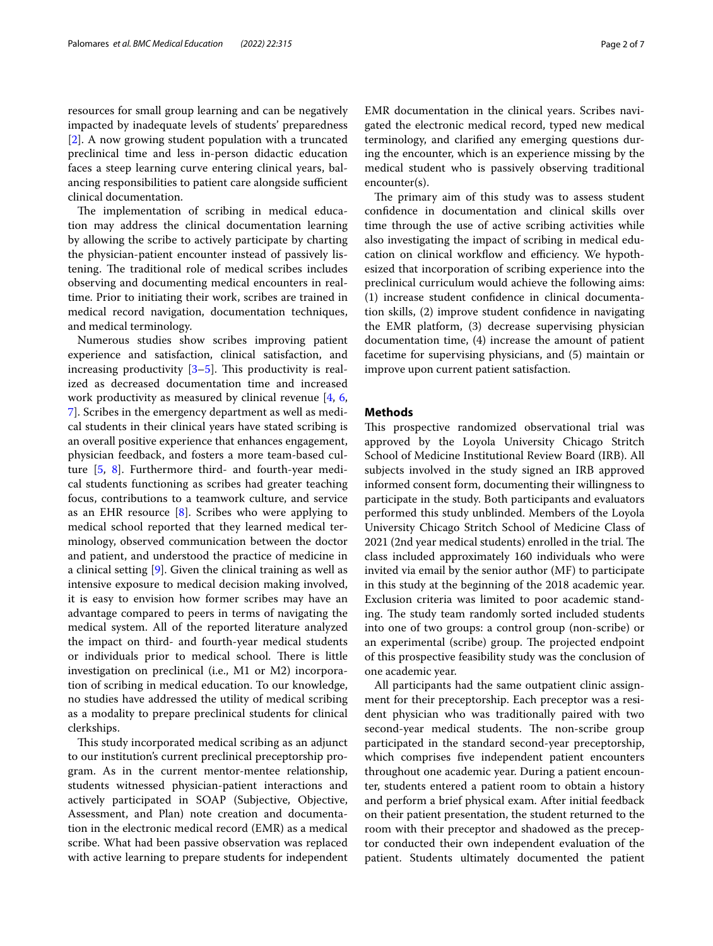resources for small group learning and can be negatively impacted by inadequate levels of students' preparedness [[2\]](#page-6-1). A now growing student population with a truncated preclinical time and less in-person didactic education faces a steep learning curve entering clinical years, balancing responsibilities to patient care alongside sufficient clinical documentation.

The implementation of scribing in medical education may address the clinical documentation learning by allowing the scribe to actively participate by charting the physician-patient encounter instead of passively listening. The traditional role of medical scribes includes observing and documenting medical encounters in realtime. Prior to initiating their work, scribes are trained in medical record navigation, documentation techniques, and medical terminology.

Numerous studies show scribes improving patient experience and satisfaction, clinical satisfaction, and increasing productivity  $[3-5]$  $[3-5]$ . This productivity is realized as decreased documentation time and increased work productivity as measured by clinical revenue [\[4,](#page-6-4) [6](#page-6-5), [7\]](#page-6-6). Scribes in the emergency department as well as medical students in their clinical years have stated scribing is an overall positive experience that enhances engagement, physician feedback, and fosters a more team-based culture [\[5](#page-6-3), [8](#page-6-7)]. Furthermore third- and fourth-year medical students functioning as scribes had greater teaching focus, contributions to a teamwork culture, and service as an EHR resource  $[8]$  $[8]$ . Scribes who were applying to medical school reported that they learned medical terminology, observed communication between the doctor and patient, and understood the practice of medicine in a clinical setting [\[9](#page-6-8)]. Given the clinical training as well as intensive exposure to medical decision making involved, it is easy to envision how former scribes may have an advantage compared to peers in terms of navigating the medical system. All of the reported literature analyzed the impact on third- and fourth-year medical students or individuals prior to medical school. There is little investigation on preclinical (i.e., M1 or M2) incorporation of scribing in medical education. To our knowledge, no studies have addressed the utility of medical scribing as a modality to prepare preclinical students for clinical clerkships.

This study incorporated medical scribing as an adjunct to our institution's current preclinical preceptorship program. As in the current mentor-mentee relationship, students witnessed physician-patient interactions and actively participated in SOAP (Subjective, Objective, Assessment, and Plan) note creation and documentation in the electronic medical record (EMR) as a medical scribe. What had been passive observation was replaced with active learning to prepare students for independent EMR documentation in the clinical years. Scribes navigated the electronic medical record, typed new medical

terminology, and clarifed any emerging questions during the encounter, which is an experience missing by the medical student who is passively observing traditional encounter(s).

The primary aim of this study was to assess student confdence in documentation and clinical skills over time through the use of active scribing activities while also investigating the impact of scribing in medical education on clinical workflow and efficiency. We hypothesized that incorporation of scribing experience into the preclinical curriculum would achieve the following aims: (1) increase student confdence in clinical documentation skills, (2) improve student confdence in navigating the EMR platform, (3) decrease supervising physician documentation time, (4) increase the amount of patient facetime for supervising physicians, and (5) maintain or improve upon current patient satisfaction.

## **Methods**

This prospective randomized observational trial was approved by the Loyola University Chicago Stritch School of Medicine Institutional Review Board (IRB). All subjects involved in the study signed an IRB approved informed consent form, documenting their willingness to participate in the study. Both participants and evaluators performed this study unblinded. Members of the Loyola University Chicago Stritch School of Medicine Class of 2021 (2nd year medical students) enrolled in the trial. The class included approximately 160 individuals who were invited via email by the senior author (MF) to participate in this study at the beginning of the 2018 academic year. Exclusion criteria was limited to poor academic standing. The study team randomly sorted included students into one of two groups: a control group (non-scribe) or an experimental (scribe) group. The projected endpoint of this prospective feasibility study was the conclusion of one academic year.

All participants had the same outpatient clinic assignment for their preceptorship. Each preceptor was a resident physician who was traditionally paired with two second-year medical students. The non-scribe group participated in the standard second-year preceptorship, which comprises fve independent patient encounters throughout one academic year. During a patient encounter, students entered a patient room to obtain a history and perform a brief physical exam. After initial feedback on their patient presentation, the student returned to the room with their preceptor and shadowed as the preceptor conducted their own independent evaluation of the patient. Students ultimately documented the patient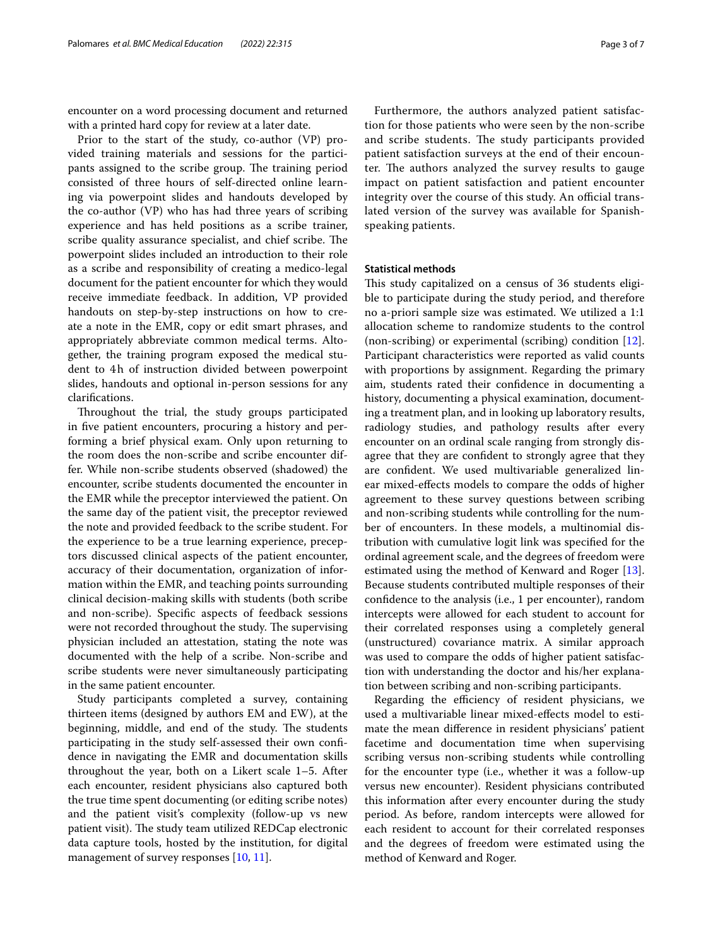encounter on a word processing document and returned with a printed hard copy for review at a later date.

Prior to the start of the study, co-author (VP) provided training materials and sessions for the participants assigned to the scribe group. The training period consisted of three hours of self-directed online learning via powerpoint slides and handouts developed by the co-author (VP) who has had three years of scribing experience and has held positions as a scribe trainer, scribe quality assurance specialist, and chief scribe. The powerpoint slides included an introduction to their role as a scribe and responsibility of creating a medico-legal document for the patient encounter for which they would receive immediate feedback. In addition, VP provided handouts on step-by-step instructions on how to create a note in the EMR, copy or edit smart phrases, and appropriately abbreviate common medical terms. Altogether, the training program exposed the medical student to 4h of instruction divided between powerpoint slides, handouts and optional in-person sessions for any clarifcations.

Throughout the trial, the study groups participated in fve patient encounters, procuring a history and performing a brief physical exam. Only upon returning to the room does the non-scribe and scribe encounter differ. While non-scribe students observed (shadowed) the encounter, scribe students documented the encounter in the EMR while the preceptor interviewed the patient. On the same day of the patient visit, the preceptor reviewed the note and provided feedback to the scribe student. For the experience to be a true learning experience, preceptors discussed clinical aspects of the patient encounter, accuracy of their documentation, organization of information within the EMR, and teaching points surrounding clinical decision-making skills with students (both scribe and non-scribe). Specifc aspects of feedback sessions were not recorded throughout the study. The supervising physician included an attestation, stating the note was documented with the help of a scribe. Non-scribe and scribe students were never simultaneously participating in the same patient encounter.

Study participants completed a survey, containing thirteen items (designed by authors EM and EW), at the beginning, middle, and end of the study. The students participating in the study self-assessed their own confdence in navigating the EMR and documentation skills throughout the year, both on a Likert scale 1–5. After each encounter, resident physicians also captured both the true time spent documenting (or editing scribe notes) and the patient visit's complexity (follow-up vs new patient visit). The study team utilized REDCap electronic data capture tools, hosted by the institution, for digital management of survey responses [\[10](#page-6-9), [11\]](#page-6-10).

Furthermore, the authors analyzed patient satisfaction for those patients who were seen by the non-scribe and scribe students. The study participants provided patient satisfaction surveys at the end of their encounter. The authors analyzed the survey results to gauge impact on patient satisfaction and patient encounter integrity over the course of this study. An official translated version of the survey was available for Spanishspeaking patients.

#### **Statistical methods**

This study capitalized on a census of 36 students eligible to participate during the study period, and therefore no a-priori sample size was estimated. We utilized a 1:1 allocation scheme to randomize students to the control (non-scribing) or experimental (scribing) condition [\[12](#page-6-11)]. Participant characteristics were reported as valid counts with proportions by assignment. Regarding the primary aim, students rated their confdence in documenting a history, documenting a physical examination, documenting a treatment plan, and in looking up laboratory results, radiology studies, and pathology results after every encounter on an ordinal scale ranging from strongly disagree that they are confdent to strongly agree that they are confdent. We used multivariable generalized linear mixed-efects models to compare the odds of higher agreement to these survey questions between scribing and non-scribing students while controlling for the number of encounters. In these models, a multinomial distribution with cumulative logit link was specifed for the ordinal agreement scale, and the degrees of freedom were estimated using the method of Kenward and Roger [\[13](#page-6-12)]. Because students contributed multiple responses of their confdence to the analysis (i.e., 1 per encounter), random intercepts were allowed for each student to account for their correlated responses using a completely general (unstructured) covariance matrix. A similar approach was used to compare the odds of higher patient satisfaction with understanding the doctor and his/her explanation between scribing and non-scribing participants.

Regarding the efficiency of resident physicians, we used a multivariable linear mixed-efects model to estimate the mean diference in resident physicians' patient facetime and documentation time when supervising scribing versus non-scribing students while controlling for the encounter type (i.e., whether it was a follow-up versus new encounter). Resident physicians contributed this information after every encounter during the study period. As before, random intercepts were allowed for each resident to account for their correlated responses and the degrees of freedom were estimated using the method of Kenward and Roger.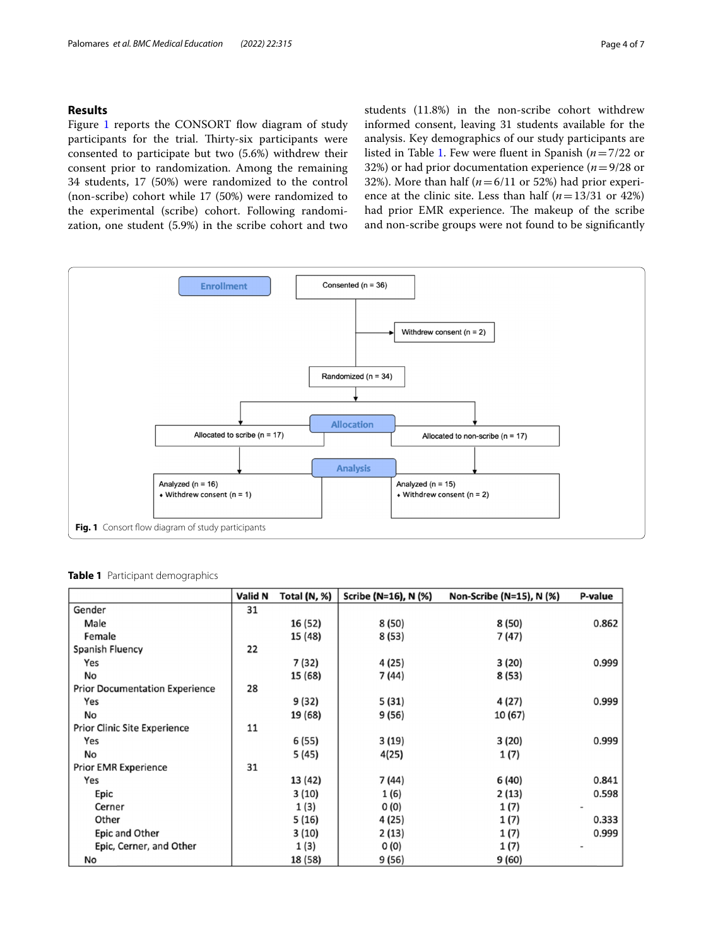# **Results**

Figure [1](#page-3-0) reports the CONSORT flow diagram of study participants for the trial. Thirty-six participants were consented to participate but two (5.6%) withdrew their consent prior to randomization. Among the remaining 34 students, 17 (50%) were randomized to the control (non-scribe) cohort while 17 (50%) were randomized to the experimental (scribe) cohort. Following randomization, one student (5.9%) in the scribe cohort and two

students (11.8%) in the non-scribe cohort withdrew informed consent, leaving 31 students available for the analysis. Key demographics of our study participants are listed in Table [1.](#page-3-1) Few were fuent in Spanish (*n*=7/22 or 32%) or had prior documentation experience (*n*=9/28 or 32%). More than half ( $n=6/11$  or 52%) had prior experience at the clinic site. Less than half (*n*=13/31 or 42%) had prior EMR experience. The makeup of the scribe and non-scribe groups were not found to be signifcantly



<span id="page-3-1"></span><span id="page-3-0"></span>**Table 1** Participant demographics

|                                       | Valid N | Total (N, %) | Scribe (N=16), N (%) | Non-Scribe (N=15), N (%) | P-value |
|---------------------------------------|---------|--------------|----------------------|--------------------------|---------|
| Gender                                | 31      |              |                      |                          |         |
| Male                                  |         | 16 (52)      | 8 (50)               | 8 (50)                   | 0.862   |
| Female                                |         | 15 (48)      | 8 (53)               | 7 (47)                   |         |
| Spanish Fluency                       | 22      |              |                      |                          |         |
| Yes                                   |         | 7 (32)       | 4 (25)               | 3(20)                    | 0.999   |
| No                                    |         | 15 (68)      | 7 (44)               | 8 (53)                   |         |
| <b>Prior Documentation Experience</b> | 28      |              |                      |                          |         |
| Yes                                   |         | 9 (32)       | 5(31)                | 4 (27)                   | 0.999   |
| No                                    |         | 19 (68)      | 9 (56)               | 10 (67)                  |         |
| <b>Prior Clinic Site Experience</b>   | 11      |              |                      |                          |         |
| Yes                                   |         | 6 (55)       | 3(19)                | 3(20)                    | 0.999   |
| No                                    |         | 5 (45)       | 4(25)                | 1(7)                     |         |
| <b>Prior EMR Experience</b>           | 31      |              |                      |                          |         |
| Yes                                   |         | 13 (42)      | 7 (44)               | 6 (40)                   | 0.841   |
| Epic                                  |         | 3(10)        | 1(6)                 | 2(13)                    | 0.598   |
| Cerner                                |         | 1(3)         | 0(0)                 | 1(7)                     |         |
| Other                                 |         | 5(16)        | 4 (25)               | 1 (7)                    | 0.333   |
| <b>Epic and Other</b>                 |         | 3(10)        | 2(13)                | 1(7)                     | 0.999   |
| Epic, Cerner, and Other               |         | 1(3)         | O(0)                 | 1 (7)                    |         |
| No                                    |         | 18 (58)      | 9(56)                | 9(60)                    |         |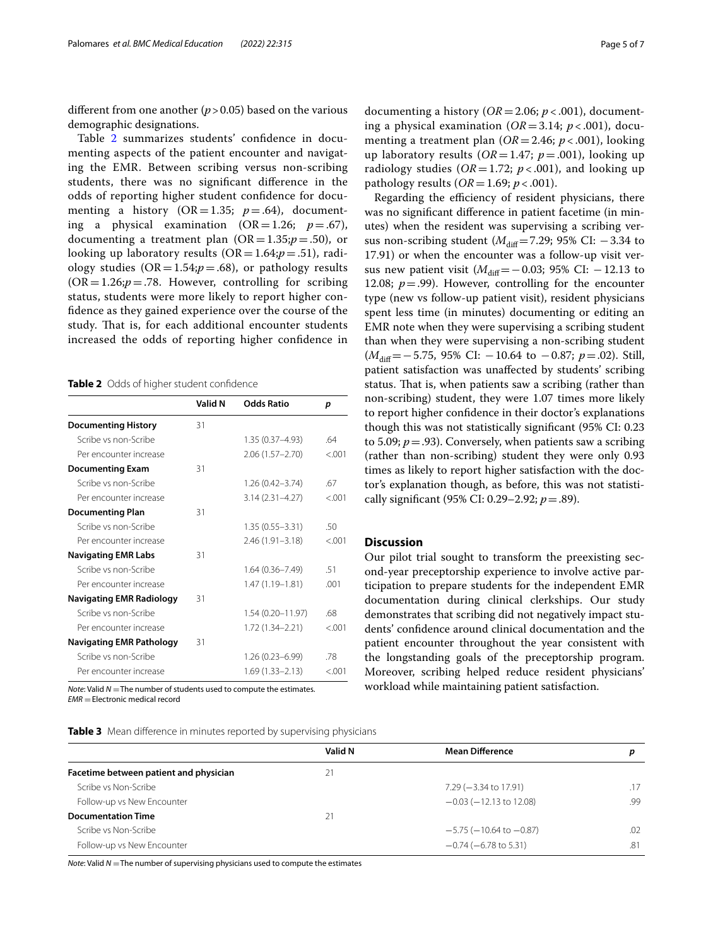diferent from one another (*p*>0.05) based on the various demographic designations.

Table [2](#page-4-0) summarizes students' confdence in documenting aspects of the patient encounter and navigating the EMR. Between scribing versus non-scribing students, there was no signifcant diference in the odds of reporting higher student confdence for documenting a history  $(OR = 1.35; p = .64)$ , documenting a physical examination  $(OR=1.26; p=.67)$ , documenting a treatment plan  $(OR = 1.35; p = .50)$ , or looking up laboratory results  $(OR = 1.64; p = .51)$ , radiology studies  $(OR = 1.54; p = .68)$ , or pathology results  $(OR = 1.26; p = .78$ . However, controlling for scribing status, students were more likely to report higher confdence as they gained experience over the course of the study. That is, for each additional encounter students increased the odds of reporting higher confdence in

<span id="page-4-0"></span>**Table 2** Odds of higher student confdence

|                                 | Valid N | <b>Odds Ratio</b>    | p      |
|---------------------------------|---------|----------------------|--------|
| <b>Documenting History</b>      | 31      |                      |        |
| Scribe vs non-Scribe            |         | 1.35 (0.37-4.93)     | 64     |
| Per encounter increase          |         | $2.06(1.57 - 2.70)$  | < 0.01 |
| <b>Documenting Exam</b>         | 31      |                      |        |
| Scribe vs non-Scribe            |         | $1.26(0.42 - 3.74)$  | 67     |
| Per encounter increase          |         | $3.14(2.31 - 4.27)$  | &0.01  |
| <b>Documenting Plan</b>         | 31      |                      |        |
| Scribe vs non-Scribe            |         | $1.35(0.55 - 3.31)$  | .50    |
| Per encounter increase          |         | 2.46 (1.91-3.18)     | < 0.01 |
| <b>Navigating EMR Labs</b>      | 31      |                      |        |
| Scribe vs non-Scribe            |         | $1.64(0.36 - 7.49)$  | .51    |
| Per encounter increase          |         | 1.47 (1.19-1.81)     | .001   |
| <b>Navigating EMR Radiology</b> | 31      |                      |        |
| Scribe vs non-Scribe            |         | $1.54(0.20 - 11.97)$ | 68     |
| Per encounter increase          |         | 1.72 (1.34-2.21)     | < 0.01 |
| <b>Navigating EMR Pathology</b> | 31      |                      |        |
| Scribe vs non-Scribe            |         | 1.26 (0.23-6.99)     | 78     |
| Per encounter increase          |         | $1.69(1.33 - 2.13)$  | < 0.01 |

*Note*: Valid  $N =$ The number of students used to compute the estimates. *EMR* =Electronic medical record

<span id="page-4-1"></span>**Table 3** Mean difference in minutes reported by supervising physicians

menting a treatment plan (*OR*=2.46; *p* < .001), looking up laboratory results (*OR*=1.47; *p*=.001), looking up radiology studies ( $OR = 1.72$ ;  $p < .001$ ), and looking up pathology results (*OR*=1.69; *p* < .001). Regarding the efficiency of resident physicians, there

was no signifcant diference in patient facetime (in minutes) when the resident was supervising a scribing versus non-scribing student ( $M_{\text{diff}}$ =7.29; 95% CI: −3.34 to 17.91) or when the encounter was a follow-up visit versus new patient visit ( $M_{\text{diff}}$ =−0.03; 95% CI: −12.13 to 12.08;  $p = .99$ ). However, controlling for the encounter type (new vs follow-up patient visit), resident physicians spent less time (in minutes) documenting or editing an EMR note when they were supervising a scribing student than when they were supervising a non-scribing student (*M*<sub>diff</sub>=−5.75, 95% CI: −10.64 to −0.87; *p*=.02). Still, patient satisfaction was unafected by students' scribing status. That is, when patients saw a scribing (rather than non-scribing) student, they were 1.07 times more likely to report higher confdence in their doctor's explanations though this was not statistically signifcant (95% CI: 0.23 to 5.09;  $p = .93$ ). Conversely, when patients saw a scribing (rather than non-scribing) student they were only 0.93 times as likely to report higher satisfaction with the doctor's explanation though, as before, this was not statistically signifcant (95% CI: 0.29–2.92; *p*=.89).

## **Discussion**

Our pilot trial sought to transform the preexisting second-year preceptorship experience to involve active participation to prepare students for the independent EMR documentation during clinical clerkships. Our study demonstrates that scribing did not negatively impact students' confdence around clinical documentation and the patient encounter throughout the year consistent with the longstanding goals of the preceptorship program. Moreover, scribing helped reduce resident physicians' workload while maintaining patient satisfaction.

|                                        | Valid N | <b>Mean Difference</b>          |     |
|----------------------------------------|---------|---------------------------------|-----|
| Facetime between patient and physician | 21      |                                 |     |
| Scribe vs Non-Scribe                   |         | 7.29 (-3.34 to 17.91)           | .17 |
| Follow-up vs New Encounter             |         | $-0.03$ ( $-12.13$ to 12.08)    | .99 |
| <b>Documentation Time</b>              | 21      |                                 |     |
| Scribe vs Non-Scribe                   |         | $-5.75$ ( $-10.64$ to $-0.87$ ) | .02 |
| Follow-up vs New Encounter             |         | $-0.74$ ( $-6.78$ to 5.31)      | .81 |

*Note*: Valid *N* = The number of supervising physicians used to compute the estimates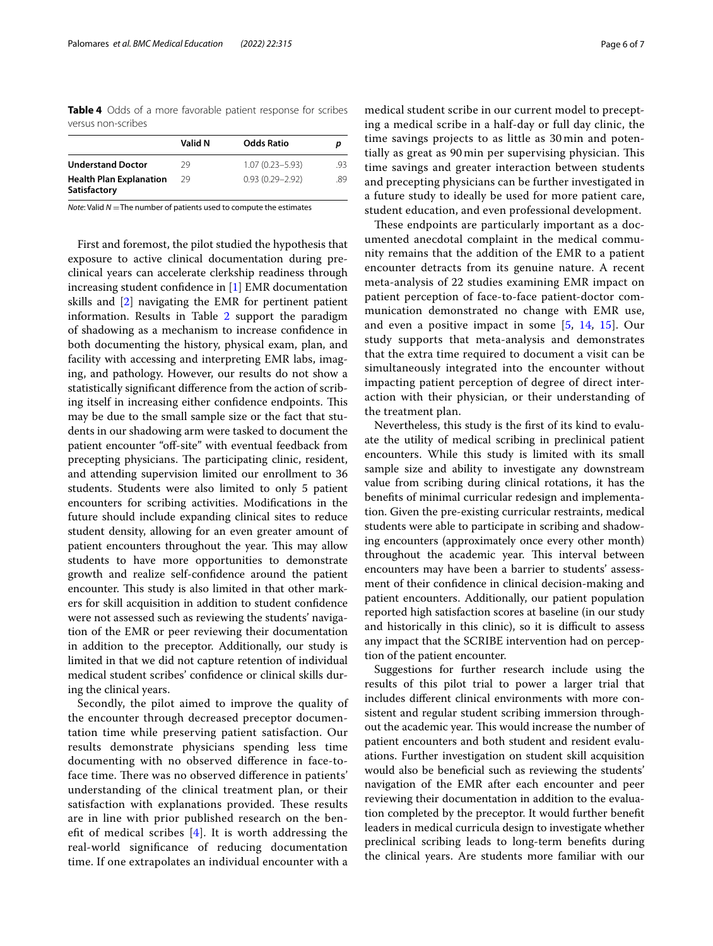<span id="page-5-0"></span>**Table 4** Odds of a more favorable patient response for scribes versus non-scribes

|                                                | Valid N | <b>Odds Ratio</b>   |     |
|------------------------------------------------|---------|---------------------|-----|
| <b>Understand Doctor</b>                       | 29      | $1.07(0.23 - 5.93)$ | .93 |
| <b>Health Plan Explanation</b><br>Satisfactory | 29      | $0.93(0.29 - 2.92)$ | .89 |

*Note*: Valid *N* = The number of patients used to compute the estimates

First and foremost, the pilot studied the hypothesis that exposure to active clinical documentation during preclinical years can accelerate clerkship readiness through increasing student confdence in [\[1](#page-6-0)] EMR documentation skills and [\[2](#page-6-1)] navigating the EMR for pertinent patient information. Results in Table [2](#page-4-0) support the paradigm of shadowing as a mechanism to increase confdence in both documenting the history, physical exam, plan, and facility with accessing and interpreting EMR labs, imaging, and pathology. However, our results do not show a statistically signifcant diference from the action of scribing itself in increasing either confidence endpoints. This may be due to the small sample size or the fact that students in our shadowing arm were tasked to document the patient encounter "off-site" with eventual feedback from precepting physicians. The participating clinic, resident, and attending supervision limited our enrollment to 36 students. Students were also limited to only 5 patient encounters for scribing activities. Modifcations in the future should include expanding clinical sites to reduce student density, allowing for an even greater amount of patient encounters throughout the year. This may allow students to have more opportunities to demonstrate growth and realize self-confdence around the patient encounter. This study is also limited in that other markers for skill acquisition in addition to student confdence were not assessed such as reviewing the students' navigation of the EMR or peer reviewing their documentation in addition to the preceptor. Additionally, our study is limited in that we did not capture retention of individual medical student scribes' confdence or clinical skills during the clinical years.

Secondly, the pilot aimed to improve the quality of the encounter through decreased preceptor documentation time while preserving patient satisfaction. Our results demonstrate physicians spending less time documenting with no observed diference in face-toface time. There was no observed difference in patients' understanding of the clinical treatment plan, or their satisfaction with explanations provided. These results are in line with prior published research on the benefit of medical scribes  $[4]$  $[4]$ . It is worth addressing the real-world signifcance of reducing documentation time. If one extrapolates an individual encounter with a

medical student scribe in our current model to precepting a medical scribe in a half-day or full day clinic, the time savings projects to as little as 30 min and potentially as great as 90 min per supervising physician. This time savings and greater interaction between students and precepting physicians can be further investigated in a future study to ideally be used for more patient care, student education, and even professional development.

These endpoints are particularly important as a documented anecdotal complaint in the medical community remains that the addition of the EMR to a patient encounter detracts from its genuine nature. A recent meta-analysis of 22 studies examining EMR impact on patient perception of face-to-face patient-doctor communication demonstrated no change with EMR use, and even a positive impact in some [\[5](#page-6-3), [14](#page-6-13), [15](#page-6-14)]. Our study supports that meta-analysis and demonstrates that the extra time required to document a visit can be simultaneously integrated into the encounter without impacting patient perception of degree of direct interaction with their physician, or their understanding of the treatment plan.

Nevertheless, this study is the frst of its kind to evaluate the utility of medical scribing in preclinical patient encounters. While this study is limited with its small sample size and ability to investigate any downstream value from scribing during clinical rotations, it has the benefts of minimal curricular redesign and implementation. Given the pre-existing curricular restraints, medical students were able to participate in scribing and shadowing encounters (approximately once every other month) throughout the academic year. This interval between encounters may have been a barrier to students' assessment of their confdence in clinical decision-making and patient encounters. Additionally, our patient population reported high satisfaction scores at baseline (in our study and historically in this clinic), so it is difficult to assess any impact that the SCRIBE intervention had on perception of the patient encounter.

Suggestions for further research include using the results of this pilot trial to power a larger trial that includes diferent clinical environments with more consistent and regular student scribing immersion throughout the academic year. This would increase the number of patient encounters and both student and resident evaluations. Further investigation on student skill acquisition would also be benefcial such as reviewing the students' navigation of the EMR after each encounter and peer reviewing their documentation in addition to the evaluation completed by the preceptor. It would further beneft leaders in medical curricula design to investigate whether preclinical scribing leads to long-term benefts during the clinical years. Are students more familiar with our